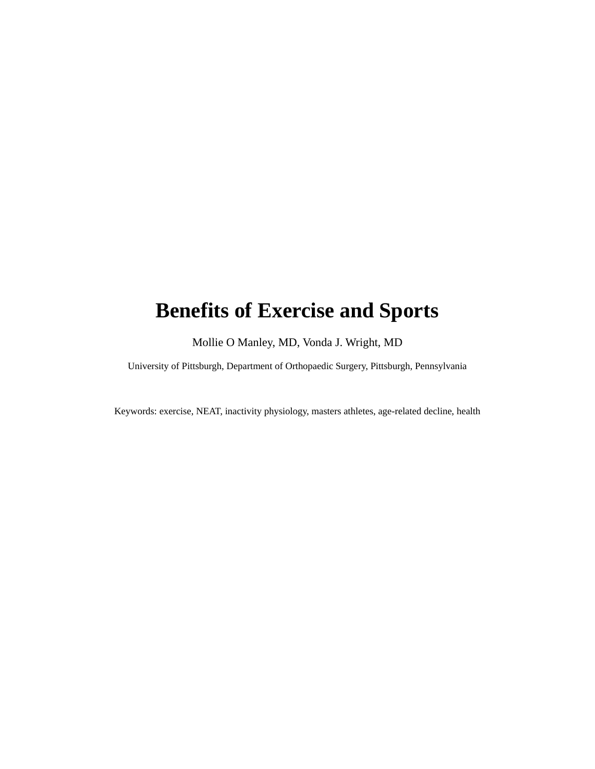# **Benefits of Exercise and Sports**

Mollie O Manley, MD, Vonda J. Wright, MD

University of Pittsburgh, Department of Orthopaedic Surgery, Pittsburgh, Pennsylvania

Keywords: exercise, NEAT, inactivity physiology, masters athletes, age-related decline, health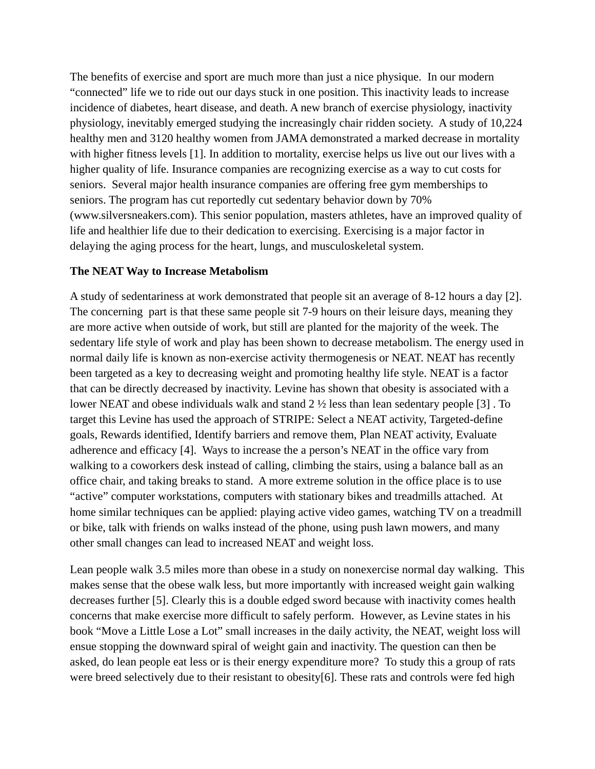The benefits of exercise and sport are much more than just a nice physique. In our modern "connected" life we to ride out our days stuck in one position. This inactivity leads to increase incidence of diabetes, heart disease, and death. A new branch of exercise physiology, inactivity physiology, inevitably emerged studying the increasingly chair ridden society. A study of 10,224 healthy men and 3120 healthy women from JAMA demonstrated a marked decrease in mortality with higher fitness levels [1]. In addition to mortality, exercise helps us live out our lives with a higher quality of life. Insurance companies are recognizing exercise as a way to cut costs for seniors. Several major health insurance companies are offering free gym memberships to seniors. The program has cut reportedly cut sedentary behavior down by 70% (www.silversneakers.com). This senior population, masters athletes, have an improved quality of life and healthier life due to their dedication to exercising. Exercising is a major factor in delaying the aging process for the heart, lungs, and musculoskeletal system.

#### **The NEAT Way to Increase Metabolism**

A study of sedentariness at work demonstrated that people sit an average of 8-12 hours a day [2]. The concerning part is that these same people sit 7-9 hours on their leisure days, meaning they are more active when outside of work, but still are planted for the majority of the week. The sedentary life style of work and play has been shown to decrease metabolism. The energy used in normal daily life is known as non-exercise activity thermogenesis or NEAT. NEAT has recently been targeted as a key to decreasing weight and promoting healthy life style. NEAT is a factor that can be directly decreased by inactivity. Levine has shown that obesity is associated with a lower NEAT and obese individuals walk and stand 2 ½ less than lean sedentary people [3] . To target this Levine has used the approach of STRIPE: Select a NEAT activity, Targeted-define goals, Rewards identified, Identify barriers and remove them, Plan NEAT activity, Evaluate adherence and efficacy [4]. Ways to increase the a person's NEAT in the office vary from walking to a coworkers desk instead of calling, climbing the stairs, using a balance ball as an office chair, and taking breaks to stand. A more extreme solution in the office place is to use "active" computer workstations, computers with stationary bikes and treadmills attached. At home similar techniques can be applied: playing active video games, watching TV on a treadmill or bike, talk with friends on walks instead of the phone, using push lawn mowers, and many other small changes can lead to increased NEAT and weight loss.

Lean people walk 3.5 miles more than obese in a study on nonexercise normal day walking. This makes sense that the obese walk less, but more importantly with increased weight gain walking decreases further [5]. Clearly this is a double edged sword because with inactivity comes health concerns that make exercise more difficult to safely perform. However, as Levine states in his book "Move a Little Lose a Lot" small increases in the daily activity, the NEAT, weight loss will ensue stopping the downward spiral of weight gain and inactivity. The question can then be asked, do lean people eat less or is their energy expenditure more? To study this a group of rats were breed selectively due to their resistant to obesity[6]. These rats and controls were fed high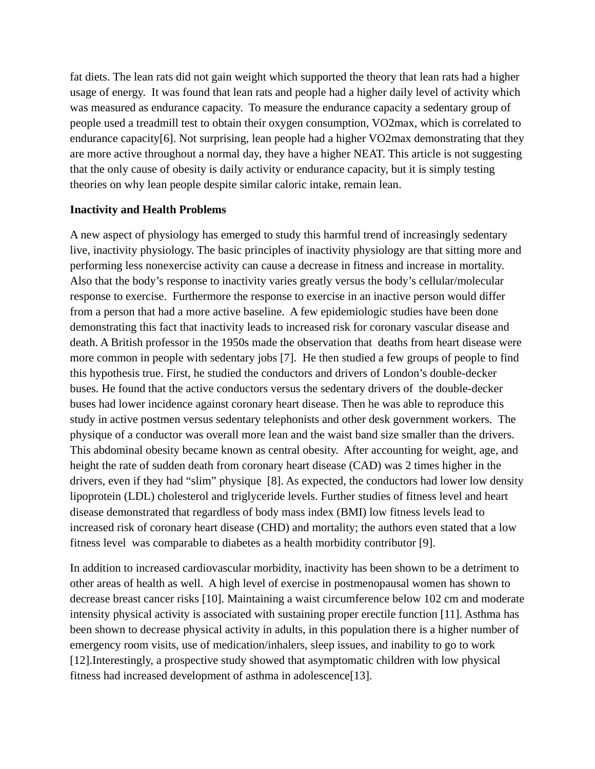fat diets. The lean rats did not gain weight which supported the theory that lean rats had a higher usage of energy. It was found that lean rats and people had a higher daily level of activity which was measured as endurance capacity. To measure the endurance capacity a sedentary group of people used a treadmill test to obtain their oxygen consumption, VO2max, which is correlated to endurance capacity[6]. Not surprising, lean people had a higher VO2max demonstrating that they are more active throughout a normal day, they have a higher NEAT. This article is not suggesting that the only cause of obesity is daily activity or endurance capacity, but it is simply testing theories on why lean people despite similar caloric intake, remain lean.

## **Inactivity and Health Problems**

A new aspect of physiology has emerged to study this harmful trend of increasingly sedentary live, inactivity physiology. The basic principles of inactivity physiology are that sitting more and performing less nonexercise activity can cause a decrease in fitness and increase in mortality. Also that the body's response to inactivity varies greatly versus the body's cellular/molecular response to exercise. Furthermore the response to exercise in an inactive person would differ from a person that had a more active baseline. A few epidemiologic studies have been done demonstrating this fact that inactivity leads to increased risk for coronary vascular disease and death. A British professor in the 1950s made the observation that deaths from heart disease were more common in people with sedentary jobs [7]. He then studied a few groups of people to find this hypothesis true. First, he studied the conductors and drivers of London's double-decker buses. He found that the active conductors versus the sedentary drivers of the double-decker buses had lower incidence against coronary heart disease. Then he was able to reproduce this study in active postmen versus sedentary telephonists and other desk government workers. The physique of a conductor was overall more lean and the waist band size smaller than the drivers. This abdominal obesity became known as central obesity. After accounting for weight, age, and height the rate of sudden death from coronary heart disease (CAD) was 2 times higher in the drivers, even if they had "slim" physique [8]. As expected, the conductors had lower low density lipoprotein (LDL) cholesterol and triglyceride levels. Further studies of fitness level and heart disease demonstrated that regardless of body mass index (BMI) low fitness levels lead to increased risk of coronary heart disease (CHD) and mortality; the authors even stated that a low fitness level was comparable to diabetes as a health morbidity contributor [9].

In addition to increased cardiovascular morbidity, inactivity has been shown to be a detriment to other areas of health as well. A high level of exercise in postmenopausal women has shown to decrease breast cancer risks [10]. Maintaining a waist circumference below 102 cm and moderate intensity physical activity is associated with sustaining proper erectile function [11]. Asthma has been shown to decrease physical activity in adults, in this population there is a higher number of emergency room visits, use of medication/inhalers, sleep issues, and inability to go to work [12].Interestingly, a prospective study showed that asymptomatic children with low physical fitness had increased development of asthma in adolescence[13].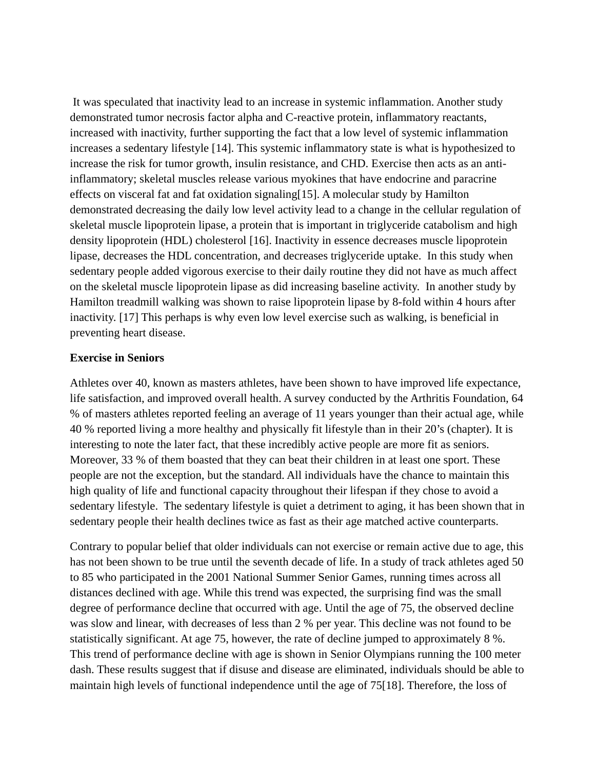It was speculated that inactivity lead to an increase in systemic inflammation. Another study demonstrated tumor necrosis factor alpha and C-reactive protein, inflammatory reactants, increased with inactivity, further supporting the fact that a low level of systemic inflammation increases a sedentary lifestyle [14]. This systemic inflammatory state is what is hypothesized to increase the risk for tumor growth, insulin resistance, and CHD. Exercise then acts as an antiinflammatory; skeletal muscles release various myokines that have endocrine and paracrine effects on visceral fat and fat oxidation signaling[15]. A molecular study by Hamilton demonstrated decreasing the daily low level activity lead to a change in the cellular regulation of skeletal muscle lipoprotein lipase, a protein that is important in triglyceride catabolism and high density lipoprotein (HDL) cholesterol [16]. Inactivity in essence decreases muscle lipoprotein lipase, decreases the HDL concentration, and decreases triglyceride uptake. In this study when sedentary people added vigorous exercise to their daily routine they did not have as much affect on the skeletal muscle lipoprotein lipase as did increasing baseline activity. In another study by Hamilton treadmill walking was shown to raise lipoprotein lipase by 8-fold within 4 hours after inactivity. [17] This perhaps is why even low level exercise such as walking, is beneficial in preventing heart disease.

## **Exercise in Seniors**

Athletes over 40, known as masters athletes, have been shown to have improved life expectance, life satisfaction, and improved overall health. A survey conducted by the Arthritis Foundation, 64 % of masters athletes reported feeling an average of 11 years younger than their actual age, while 40 % reported living a more healthy and physically fit lifestyle than in their 20's (chapter). It is interesting to note the later fact, that these incredibly active people are more fit as seniors. Moreover, 33 % of them boasted that they can beat their children in at least one sport. These people are not the exception, but the standard. All individuals have the chance to maintain this high quality of life and functional capacity throughout their lifespan if they chose to avoid a sedentary lifestyle. The sedentary lifestyle is quiet a detriment to aging, it has been shown that in sedentary people their health declines twice as fast as their age matched active counterparts.

Contrary to popular belief that older individuals can not exercise or remain active due to age, this has not been shown to be true until the seventh decade of life. In a study of track athletes aged 50 to 85 who participated in the 2001 National Summer Senior Games, running times across all distances declined with age. While this trend was expected, the surprising find was the small degree of performance decline that occurred with age. Until the age of 75, the observed decline was slow and linear, with decreases of less than 2 % per year. This decline was not found to be statistically significant. At age 75, however, the rate of decline jumped to approximately 8 %. This trend of performance decline with age is shown in Senior Olympians running the 100 meter dash. These results suggest that if disuse and disease are eliminated, individuals should be able to maintain high levels of functional independence until the age of 75[18]. Therefore, the loss of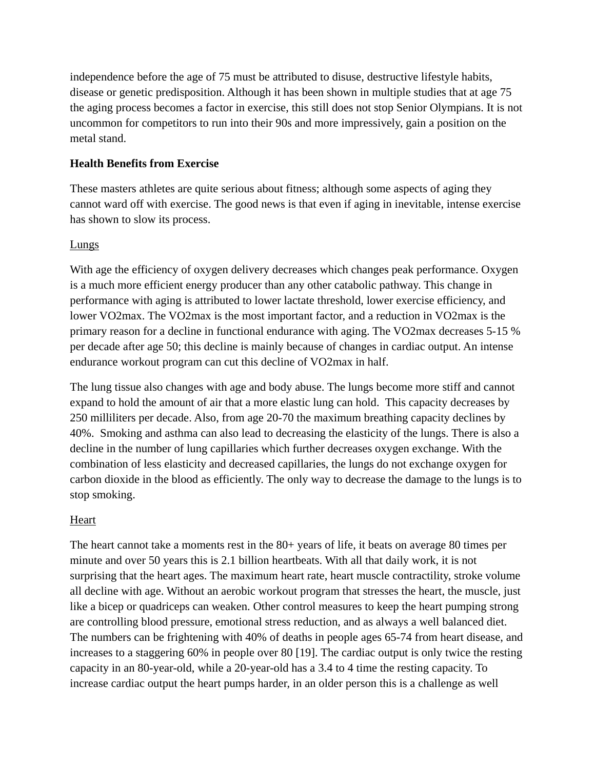independence before the age of 75 must be attributed to disuse, destructive lifestyle habits, disease or genetic predisposition. Although it has been shown in multiple studies that at age 75 the aging process becomes a factor in exercise, this still does not stop Senior Olympians. It is not uncommon for competitors to run into their 90s and more impressively, gain a position on the metal stand.

## **Health Benefits from Exercise**

These masters athletes are quite serious about fitness; although some aspects of aging they cannot ward off with exercise. The good news is that even if aging in inevitable, intense exercise has shown to slow its process.

## **Lungs**

With age the efficiency of oxygen delivery decreases which changes peak performance. Oxygen is a much more efficient energy producer than any other catabolic pathway. This change in performance with aging is attributed to lower lactate threshold, lower exercise efficiency, and lower VO2max. The VO2max is the most important factor, and a reduction in VO2max is the primary reason for a decline in functional endurance with aging. The VO2max decreases 5-15 % per decade after age 50; this decline is mainly because of changes in cardiac output. An intense endurance workout program can cut this decline of VO2max in half.

The lung tissue also changes with age and body abuse. The lungs become more stiff and cannot expand to hold the amount of air that a more elastic lung can hold. This capacity decreases by 250 milliliters per decade. Also, from age 20-70 the maximum breathing capacity declines by 40%. Smoking and asthma can also lead to decreasing the elasticity of the lungs. There is also a decline in the number of lung capillaries which further decreases oxygen exchange. With the combination of less elasticity and decreased capillaries, the lungs do not exchange oxygen for carbon dioxide in the blood as efficiently. The only way to decrease the damage to the lungs is to stop smoking.

#### Heart

The heart cannot take a moments rest in the 80+ years of life, it beats on average 80 times per minute and over 50 years this is 2.1 billion heartbeats. With all that daily work, it is not surprising that the heart ages. The maximum heart rate, heart muscle contractility, stroke volume all decline with age. Without an aerobic workout program that stresses the heart, the muscle, just like a bicep or quadriceps can weaken. Other control measures to keep the heart pumping strong are controlling blood pressure, emotional stress reduction, and as always a well balanced diet. The numbers can be frightening with 40% of deaths in people ages 65-74 from heart disease, and increases to a staggering 60% in people over 80 [19]. The cardiac output is only twice the resting capacity in an 80-year-old, while a 20-year-old has a 3.4 to 4 time the resting capacity. To increase cardiac output the heart pumps harder, in an older person this is a challenge as well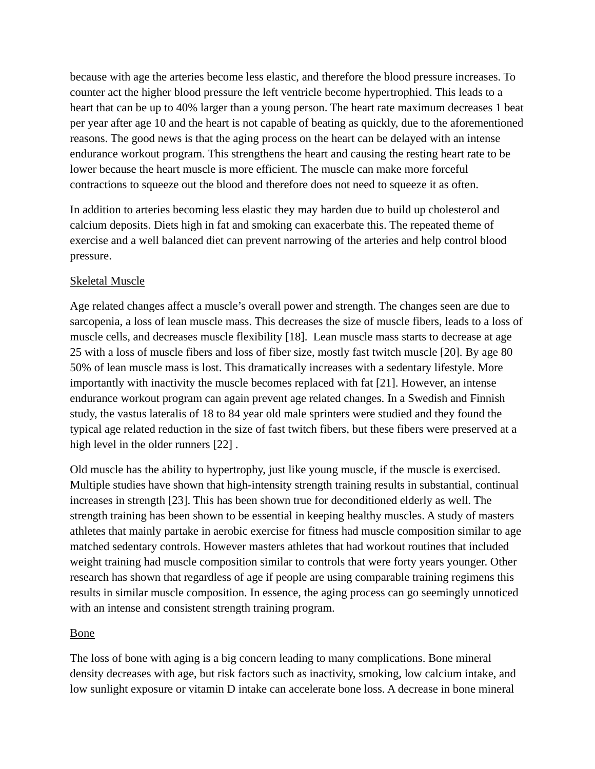because with age the arteries become less elastic, and therefore the blood pressure increases. To counter act the higher blood pressure the left ventricle become hypertrophied. This leads to a heart that can be up to 40% larger than a young person. The heart rate maximum decreases 1 beat per year after age 10 and the heart is not capable of beating as quickly, due to the aforementioned reasons. The good news is that the aging process on the heart can be delayed with an intense endurance workout program. This strengthens the heart and causing the resting heart rate to be lower because the heart muscle is more efficient. The muscle can make more forceful contractions to squeeze out the blood and therefore does not need to squeeze it as often.

In addition to arteries becoming less elastic they may harden due to build up cholesterol and calcium deposits. Diets high in fat and smoking can exacerbate this. The repeated theme of exercise and a well balanced diet can prevent narrowing of the arteries and help control blood pressure.

# Skeletal Muscle

Age related changes affect a muscle's overall power and strength. The changes seen are due to sarcopenia, a loss of lean muscle mass. This decreases the size of muscle fibers, leads to a loss of muscle cells, and decreases muscle flexibility [18]. Lean muscle mass starts to decrease at age 25 with a loss of muscle fibers and loss of fiber size, mostly fast twitch muscle [20]. By age 80 50% of lean muscle mass is lost. This dramatically increases with a sedentary lifestyle. More importantly with inactivity the muscle becomes replaced with fat [21]. However, an intense endurance workout program can again prevent age related changes. In a Swedish and Finnish study, the vastus lateralis of 18 to 84 year old male sprinters were studied and they found the typical age related reduction in the size of fast twitch fibers, but these fibers were preserved at a high level in the older runners [22].

Old muscle has the ability to hypertrophy, just like young muscle, if the muscle is exercised. Multiple studies have shown that high-intensity strength training results in substantial, continual increases in strength [23]. This has been shown true for deconditioned elderly as well. The strength training has been shown to be essential in keeping healthy muscles. A study of masters athletes that mainly partake in aerobic exercise for fitness had muscle composition similar to age matched sedentary controls. However masters athletes that had workout routines that included weight training had muscle composition similar to controls that were forty years younger. Other research has shown that regardless of age if people are using comparable training regimens this results in similar muscle composition. In essence, the aging process can go seemingly unnoticed with an intense and consistent strength training program.

# Bone

The loss of bone with aging is a big concern leading to many complications. Bone mineral density decreases with age, but risk factors such as inactivity, smoking, low calcium intake, and low sunlight exposure or vitamin D intake can accelerate bone loss. A decrease in bone mineral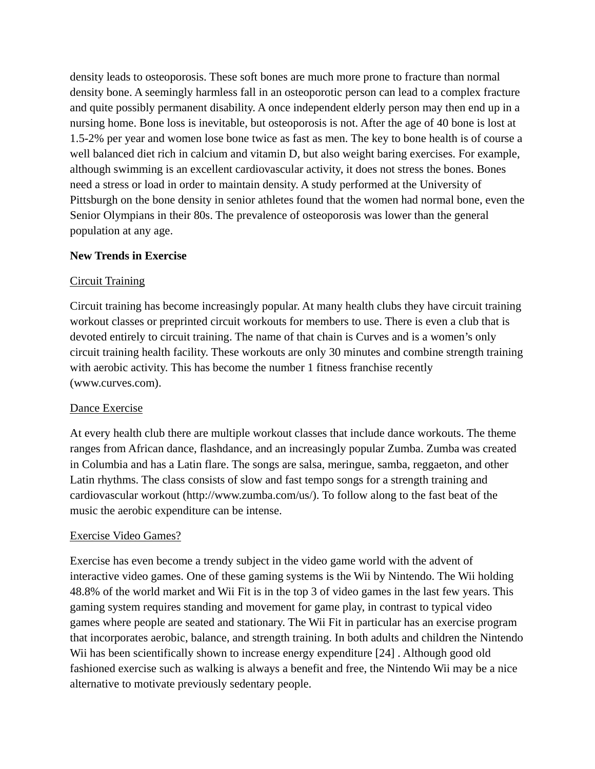density leads to osteoporosis. These soft bones are much more prone to fracture than normal density bone. A seemingly harmless fall in an osteoporotic person can lead to a complex fracture and quite possibly permanent disability. A once independent elderly person may then end up in a nursing home. Bone loss is inevitable, but osteoporosis is not. After the age of 40 bone is lost at 1.5-2% per year and women lose bone twice as fast as men. The key to bone health is of course a well balanced diet rich in calcium and vitamin D, but also weight baring exercises. For example, although swimming is an excellent cardiovascular activity, it does not stress the bones. Bones need a stress or load in order to maintain density. A study performed at the University of Pittsburgh on the bone density in senior athletes found that the women had normal bone, even the Senior Olympians in their 80s. The prevalence of osteoporosis was lower than the general population at any age.

## **New Trends in Exercise**

## Circuit Training

Circuit training has become increasingly popular. At many health clubs they have circuit training workout classes or preprinted circuit workouts for members to use. There is even a club that is devoted entirely to circuit training. The name of that chain is Curves and is a women's only circuit training health facility. These workouts are only 30 minutes and combine strength training with aerobic activity. This has become the number 1 fitness franchise recently (www.curves.com).

## Dance Exercise

At every health club there are multiple workout classes that include dance workouts. The theme ranges from African dance, flashdance, and an increasingly popular Zumba. Zumba was created in Columbia and has a Latin flare. The songs are salsa, meringue, samba, reggaeton, and other Latin rhythms. The class consists of slow and fast tempo songs for a strength training and cardiovascular workout (http://www.zumba.com/us/). To follow along to the fast beat of the music the aerobic expenditure can be intense.

## Exercise Video Games?

Exercise has even become a trendy subject in the video game world with the advent of interactive video games. One of these gaming systems is the Wii by Nintendo. The Wii holding 48.8% of the world market and Wii Fit is in the top 3 of video games in the last few years. This gaming system requires standing and movement for game play, in contrast to typical video games where people are seated and stationary. The Wii Fit in particular has an exercise program that incorporates aerobic, balance, and strength training. In both adults and children the Nintendo Wii has been scientifically shown to increase energy expenditure [24]. Although good old fashioned exercise such as walking is always a benefit and free, the Nintendo Wii may be a nice alternative to motivate previously sedentary people.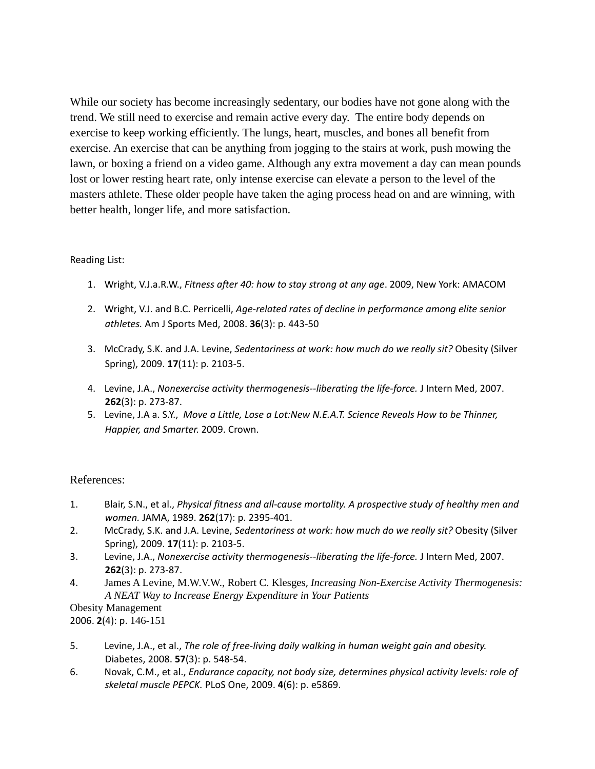While our society has become increasingly sedentary, our bodies have not gone along with the trend. We still need to exercise and remain active every day. The entire body depends on exercise to keep working efficiently. The lungs, heart, muscles, and bones all benefit from exercise. An exercise that can be anything from jogging to the stairs at work, push mowing the lawn, or boxing a friend on a video game. Although any extra movement a day can mean pounds lost or lower resting heart rate, only intense exercise can elevate a person to the level of the masters athlete. These older people have taken the aging process head on and are winning, with better health, longer life, and more satisfaction.

## Reading List:

- 1. Wright, V.J.a.R.W., *Fitness after 40: how to stay strong at any age*. 2009, New York: AMACOM
- 2. Wright, V.J. and B.C. Perricelli, *Age‐related rates of decline in performance among elite senior athletes.* Am J Sports Med, 2008. **36**(3): p. 443‐50
- 3. McCrady, S.K. and J.A. Levine, *Sedentariness at work: how much do we really sit?* Obesity (Silver Spring), 2009. **17**(11): p. 2103‐5.
- 4. Levine, J.A., *Nonexercise activity thermogenesis‐‐liberating the life‐force.* J Intern Med, 2007. **262**(3): p. 273‐87.
- 5. Levine, J.A a. S.Y., *Move a Little, Lose a Lot:New N.E.A.T. Science Reveals How to be Thinner, Happier, and Smarter*. 2009. Crown.

## References:

- 1. Blair, S.N., et al., *Physical fitness and all‐cause mortality. A prospective study of healthy men and women.* JAMA, 1989. **262**(17): p. 2395‐401.
- 2. McCrady, S.K. and J.A. Levine, *Sedentariness at work: how much do we really sit?* Obesity (Silver Spring), 2009. **17**(11): p. 2103‐5.
- 3. Levine, J.A., *Nonexercise activity thermogenesis‐‐liberating the life‐force.* J Intern Med, 2007. **262**(3): p. 273‐87.
- 4. James A Levine, M.W.V.W., Robert C. Klesges, *Increasing Non-Exercise Activity Thermogenesis: A NEAT Way to Increase Energy Expenditure in Your Patients*

Obesity Management 2006. **2**(4): p. 146-151

- 5. Levine, J.A., et al., *The role of free‐living daily walking in human weight gain and obesity.* Diabetes, 2008. **57**(3): p. 548‐54.
- 6. Novak, C.M., et al., *Endurance capacity, not body size, determines physical activity levels: role of skeletal muscle PEPCK.* PLoS One, 2009. **4**(6): p. e5869.